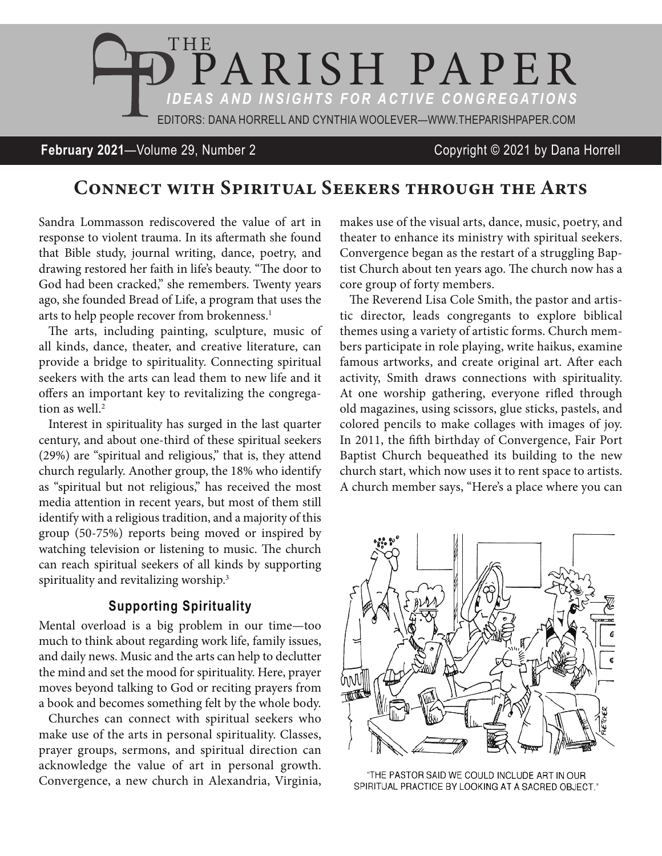

#### **February 2021**—Volume 29, Number 2 Copyright © 2021 by Dana Horrell

# Connect with Spiritual Seekers through the Arts

Sandra Lommasson rediscovered the value of art in response to violent trauma. In its aftermath she found that Bible study, journal writing, dance, poetry, and drawing restored her faith in life's beauty. "The door to God had been cracked," she remembers. Twenty years ago, she founded Bread of Life, a program that uses the arts to help people recover from brokenness.<sup>1</sup>

The arts, including painting, sculpture, music of all kinds, dance, theater, and creative literature, can provide a bridge to spirituality. Connecting spiritual seekers with the arts can lead them to new life and it offers an important key to revitalizing the congregation as well. $2$ 

Interest in spirituality has surged in the last quarter century, and about one-third of these spiritual seekers (29%) are "spiritual and religious," that is, they attend church regularly. Another group, the 18% who identify as "spiritual but not religious," has received the most media attention in recent years, but most of them still identify with a religious tradition, and a majority of this group (50-75%) reports being moved or inspired by watching television or listening to music. The church can reach spiritual seekers of all kinds by supporting spirituality and revitalizing worship.<sup>3</sup>

### **Supporting Spirituality**

Mental overload is a big problem in our time—too much to think about regarding work life, family issues, and daily news. Music and the arts can help to declutter the mind and set the mood for spirituality. Here, prayer moves beyond talking to God or reciting prayers from a book and becomes something felt by the whole body.

Churches can connect with spiritual seekers who make use of the arts in personal spirituality. Classes, prayer groups, sermons, and spiritual direction can acknowledge the value of art in personal growth. Convergence, a new church in Alexandria, Virginia,

makes use of the visual arts, dance, music, poetry, and theater to enhance its ministry with spiritual seekers. Convergence began as the restart of a struggling Baptist Church about ten years ago. The church now has a core group of forty members.

The Reverend Lisa Cole Smith, the pastor and artistic director, leads congregants to explore biblical themes using a variety of artistic forms. Church members participate in role playing, write haikus, examine famous artworks, and create original art. After each activity, Smith draws connections with spirituality. At one worship gathering, everyone rifled through old magazines, using scissors, glue sticks, pastels, and colored pencils to make collages with images of joy. In 2011, the fifth birthday of Convergence, Fair Port Baptist Church bequeathed its building to the new church start, which now uses it to rent space to artists. A church member says, "Here's a place where you can



"THE PASTOR SAID WE COULD INCLUDE ART IN OUR SPIRITUAL PRACTICE BY LOOKING AT A SACRED OBJECT."